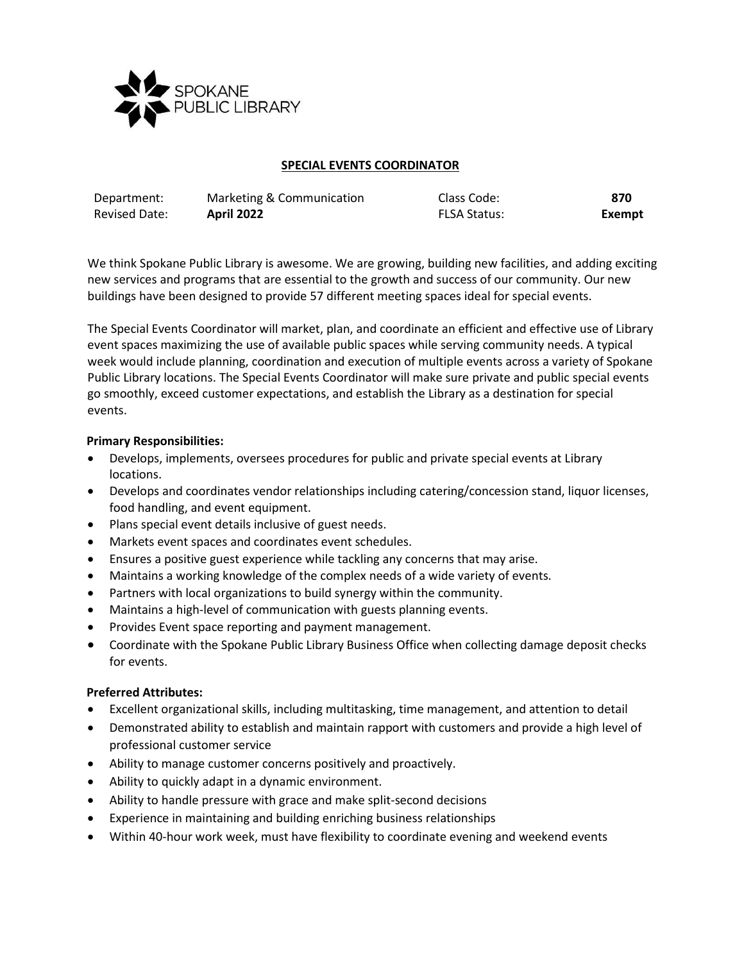

## **SPECIAL EVENTS COORDINATOR**

| Department:          | Marketing & Communication | Class Code:         | 870    |
|----------------------|---------------------------|---------------------|--------|
| <b>Revised Date:</b> | <b>April 2022</b>         | <b>FLSA Status:</b> | Exempt |

We think Spokane Public Library is awesome. We are growing, building new facilities, and adding exciting new services and programs that are essential to the growth and success of our community. Our new buildings have been designed to provide 57 different meeting spaces ideal for special events.

The Special Events Coordinator will market, plan, and coordinate an efficient and effective use of Library event spaces maximizing the use of available public spaces while serving community needs. A typical week would include planning, coordination and execution of multiple events across a variety of Spokane Public Library locations. The Special Events Coordinator will make sure private and public special events go smoothly, exceed customer expectations, and establish the Library as a destination for special events.

## **Primary Responsibilities:**

- Develops, implements, oversees procedures for public and private special events at Library locations.
- Develops and coordinates vendor relationships including catering/concession stand, liquor licenses, food handling, and event equipment.
- Plans special event details inclusive of guest needs.
- Markets event spaces and coordinates event schedules.
- Ensures a positive guest experience while tackling any concerns that may arise.
- Maintains a working knowledge of the complex needs of a wide variety of events.
- Partners with local organizations to build synergy within the community.
- Maintains a high-level of communication with guests planning events.
- Provides Event space reporting and payment management.
- Coordinate with the Spokane Public Library Business Office when collecting damage deposit checks for events.

# **Preferred Attributes:**

- Excellent organizational skills, including multitasking, time management, and attention to detail
- Demonstrated ability to establish and maintain rapport with customers and provide a high level of professional customer service
- Ability to manage customer concerns positively and proactively.
- Ability to quickly adapt in a dynamic environment.
- Ability to handle pressure with grace and make split-second decisions
- Experience in maintaining and building enriching business relationships
- Within 40-hour work week, must have flexibility to coordinate evening and weekend events